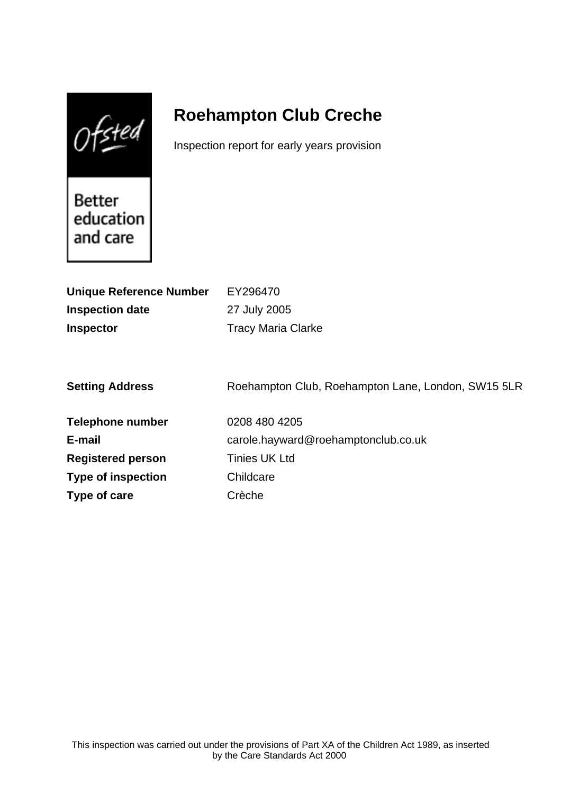$0$ fsted

# **Roehampton Club Creche**

Inspection report for early years provision

Better education and care

| EY296470<br>27 July 2005<br><b>Tracy Maria Clarke</b> |
|-------------------------------------------------------|
| Roehampton Club, Roehampton Lane, London, SW15 5LR    |
| 0208 480 4205                                         |
| carole.hayward@roehamptonclub.co.uk                   |
| <b>Tinies UK Ltd</b>                                  |
| Childcare                                             |
| Crèche                                                |
|                                                       |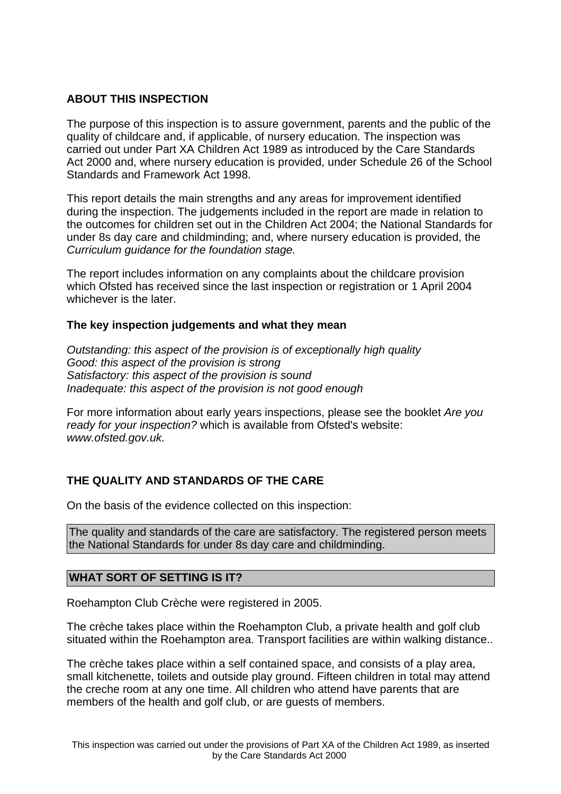## **ABOUT THIS INSPECTION**

The purpose of this inspection is to assure government, parents and the public of the quality of childcare and, if applicable, of nursery education. The inspection was carried out under Part XA Children Act 1989 as introduced by the Care Standards Act 2000 and, where nursery education is provided, under Schedule 26 of the School Standards and Framework Act 1998.

This report details the main strengths and any areas for improvement identified during the inspection. The judgements included in the report are made in relation to the outcomes for children set out in the Children Act 2004; the National Standards for under 8s day care and childminding; and, where nursery education is provided, the Curriculum guidance for the foundation stage.

The report includes information on any complaints about the childcare provision which Ofsted has received since the last inspection or registration or 1 April 2004 whichever is the later.

### **The key inspection judgements and what they mean**

Outstanding: this aspect of the provision is of exceptionally high quality Good: this aspect of the provision is strong Satisfactory: this aspect of the provision is sound Inadequate: this aspect of the provision is not good enough

For more information about early years inspections, please see the booklet Are you ready for your inspection? which is available from Ofsted's website: www.ofsted.gov.uk.

## **THE QUALITY AND STANDARDS OF THE CARE**

On the basis of the evidence collected on this inspection:

The quality and standards of the care are satisfactory. The registered person meets the National Standards for under 8s day care and childminding.

### **WHAT SORT OF SETTING IS IT?**

Roehampton Club Crèche were registered in 2005.

The crèche takes place within the Roehampton Club, a private health and golf club situated within the Roehampton area. Transport facilities are within walking distance..

The crèche takes place within a self contained space, and consists of a play area, small kitchenette, toilets and outside play ground. Fifteen children in total may attend the creche room at any one time. All children who attend have parents that are members of the health and golf club, or are guests of members.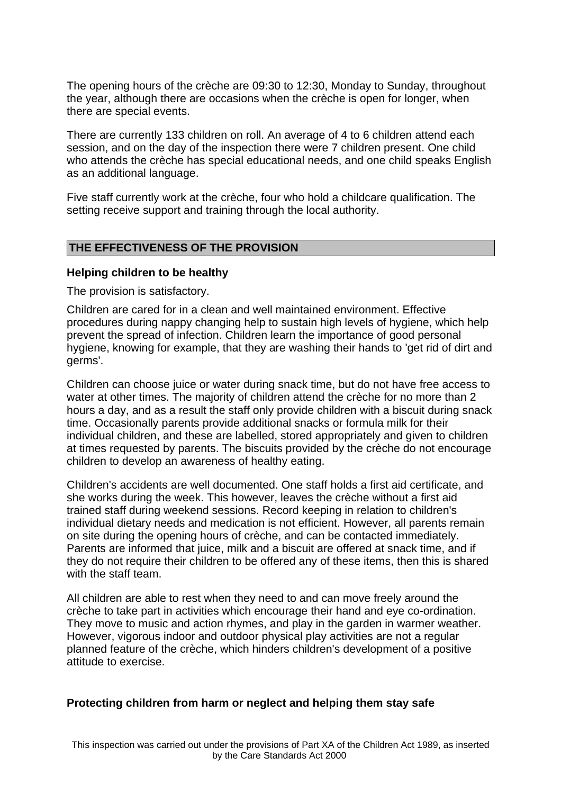The opening hours of the crèche are 09:30 to 12:30, Monday to Sunday, throughout the year, although there are occasions when the crèche is open for longer, when there are special events.

There are currently 133 children on roll. An average of 4 to 6 children attend each session, and on the day of the inspection there were 7 children present. One child who attends the crèche has special educational needs, and one child speaks English as an additional language.

Five staff currently work at the crèche, four who hold a childcare qualification. The setting receive support and training through the local authority.

#### **THE EFFECTIVENESS OF THE PROVISION**

#### **Helping children to be healthy**

The provision is satisfactory.

Children are cared for in a clean and well maintained environment. Effective procedures during nappy changing help to sustain high levels of hygiene, which help prevent the spread of infection. Children learn the importance of good personal hygiene, knowing for example, that they are washing their hands to 'get rid of dirt and germs'.

Children can choose juice or water during snack time, but do not have free access to water at other times. The majority of children attend the crèche for no more than 2 hours a day, and as a result the staff only provide children with a biscuit during snack time. Occasionally parents provide additional snacks or formula milk for their individual children, and these are labelled, stored appropriately and given to children at times requested by parents. The biscuits provided by the crèche do not encourage children to develop an awareness of healthy eating.

Children's accidents are well documented. One staff holds a first aid certificate, and she works during the week. This however, leaves the crèche without a first aid trained staff during weekend sessions. Record keeping in relation to children's individual dietary needs and medication is not efficient. However, all parents remain on site during the opening hours of crèche, and can be contacted immediately. Parents are informed that juice, milk and a biscuit are offered at snack time, and if they do not require their children to be offered any of these items, then this is shared with the staff team.

All children are able to rest when they need to and can move freely around the crèche to take part in activities which encourage their hand and eye co-ordination. They move to music and action rhymes, and play in the garden in warmer weather. However, vigorous indoor and outdoor physical play activities are not a regular planned feature of the crèche, which hinders children's development of a positive attitude to exercise.

#### **Protecting children from harm or neglect and helping them stay safe**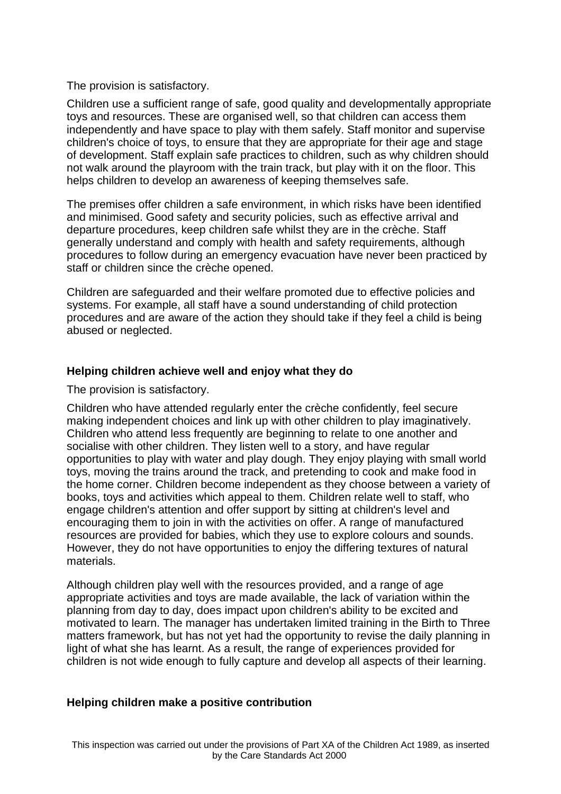The provision is satisfactory.

Children use a sufficient range of safe, good quality and developmentally appropriate toys and resources. These are organised well, so that children can access them independently and have space to play with them safely. Staff monitor and supervise children's choice of toys, to ensure that they are appropriate for their age and stage of development. Staff explain safe practices to children, such as why children should not walk around the playroom with the train track, but play with it on the floor. This helps children to develop an awareness of keeping themselves safe.

The premises offer children a safe environment, in which risks have been identified and minimised. Good safety and security policies, such as effective arrival and departure procedures, keep children safe whilst they are in the crèche. Staff generally understand and comply with health and safety requirements, although procedures to follow during an emergency evacuation have never been practiced by staff or children since the crèche opened.

Children are safeguarded and their welfare promoted due to effective policies and systems. For example, all staff have a sound understanding of child protection procedures and are aware of the action they should take if they feel a child is being abused or neglected.

#### **Helping children achieve well and enjoy what they do**

The provision is satisfactory.

Children who have attended regularly enter the crèche confidently, feel secure making independent choices and link up with other children to play imaginatively. Children who attend less frequently are beginning to relate to one another and socialise with other children. They listen well to a story, and have regular opportunities to play with water and play dough. They enjoy playing with small world toys, moving the trains around the track, and pretending to cook and make food in the home corner. Children become independent as they choose between a variety of books, toys and activities which appeal to them. Children relate well to staff, who engage children's attention and offer support by sitting at children's level and encouraging them to join in with the activities on offer. A range of manufactured resources are provided for babies, which they use to explore colours and sounds. However, they do not have opportunities to enjoy the differing textures of natural materials.

Although children play well with the resources provided, and a range of age appropriate activities and toys are made available, the lack of variation within the planning from day to day, does impact upon children's ability to be excited and motivated to learn. The manager has undertaken limited training in the Birth to Three matters framework, but has not yet had the opportunity to revise the daily planning in light of what she has learnt. As a result, the range of experiences provided for children is not wide enough to fully capture and develop all aspects of their learning.

#### **Helping children make a positive contribution**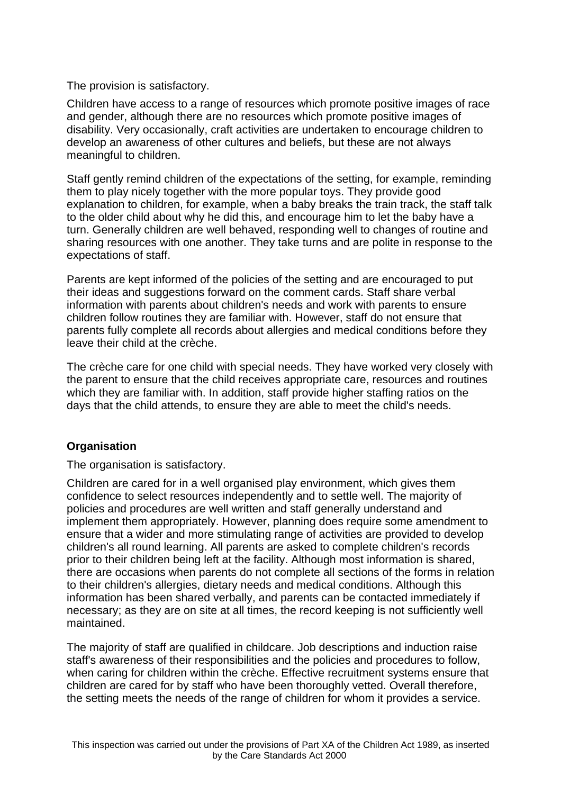The provision is satisfactory.

Children have access to a range of resources which promote positive images of race and gender, although there are no resources which promote positive images of disability. Very occasionally, craft activities are undertaken to encourage children to develop an awareness of other cultures and beliefs, but these are not always meaningful to children.

Staff gently remind children of the expectations of the setting, for example, reminding them to play nicely together with the more popular toys. They provide good explanation to children, for example, when a baby breaks the train track, the staff talk to the older child about why he did this, and encourage him to let the baby have a turn. Generally children are well behaved, responding well to changes of routine and sharing resources with one another. They take turns and are polite in response to the expectations of staff.

Parents are kept informed of the policies of the setting and are encouraged to put their ideas and suggestions forward on the comment cards. Staff share verbal information with parents about children's needs and work with parents to ensure children follow routines they are familiar with. However, staff do not ensure that parents fully complete all records about allergies and medical conditions before they leave their child at the crèche.

The crèche care for one child with special needs. They have worked very closely with the parent to ensure that the child receives appropriate care, resources and routines which they are familiar with. In addition, staff provide higher staffing ratios on the days that the child attends, to ensure they are able to meet the child's needs.

## **Organisation**

The organisation is satisfactory.

Children are cared for in a well organised play environment, which gives them confidence to select resources independently and to settle well. The majority of policies and procedures are well written and staff generally understand and implement them appropriately. However, planning does require some amendment to ensure that a wider and more stimulating range of activities are provided to develop children's all round learning. All parents are asked to complete children's records prior to their children being left at the facility. Although most information is shared, there are occasions when parents do not complete all sections of the forms in relation to their children's allergies, dietary needs and medical conditions. Although this information has been shared verbally, and parents can be contacted immediately if necessary; as they are on site at all times, the record keeping is not sufficiently well maintained.

The majority of staff are qualified in childcare. Job descriptions and induction raise staff's awareness of their responsibilities and the policies and procedures to follow, when caring for children within the crèche. Effective recruitment systems ensure that children are cared for by staff who have been thoroughly vetted. Overall therefore, the setting meets the needs of the range of children for whom it provides a service.